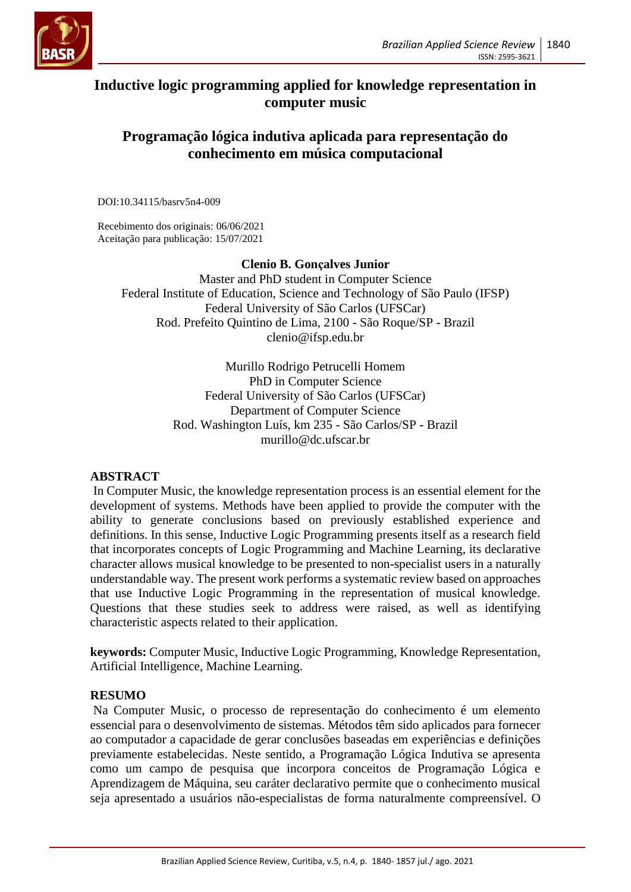

# **Inductive logic programming applied for knowledge representation in computer music**

## **Programação lógica indutiva aplicada para representação do conhecimento em música computacional**

DOI:10.34115/basrv5n4-009

Recebimento dos originais: 06/06/2021 Aceitação para publicação: 15/07/2021

### **Clenio B. Gonçalves Junior**

Master and PhD student in Computer Science Federal Institute of Education, Science and Technology of São Paulo (IFSP) Federal University of São Carlos (UFSCar) Rod. Prefeito Quintino de Lima, 2100 - São Roque/SP - Brazil clenio@ifsp.edu.br

> Murillo Rodrigo Petrucelli Homem PhD in Computer Science Federal University of São Carlos (UFSCar) Department of Computer Science Rod. Washington Luís, km 235 - São Carlos/SP - Brazil murillo@dc.ufscar.br

## **ABSTRACT**

In Computer Music, the knowledge representation process is an essential element for the development of systems. Methods have been applied to provide the computer with the ability to generate conclusions based on previously established experience and definitions. In this sense, Inductive Logic Programming presents itself as a research field that incorporates concepts of Logic Programming and Machine Learning, its declarative character allows musical knowledge to be presented to non-specialist users in a naturally understandable way. The present work performs a systematic review based on approaches that use Inductive Logic Programming in the representation of musical knowledge. Questions that these studies seek to address were raised, as well as identifying characteristic aspects related to their application.

**keywords:** Computer Music, Inductive Logic Programming, Knowledge Representation, Artificial Intelligence, Machine Learning.

### **RESUMO**

Na Computer Music, o processo de representação do conhecimento é um elemento essencial para o desenvolvimento de sistemas. Métodos têm sido aplicados para fornecer ao computador a capacidade de gerar conclusões baseadas em experiências e definições previamente estabelecidas. Neste sentido, a Programação Lógica Indutiva se apresenta como um campo de pesquisa que incorpora conceitos de Programação Lógica e Aprendizagem de Máquina, seu caráter declarativo permite que o conhecimento musical seja apresentado a usuários não-especialistas de forma naturalmente compreensível. O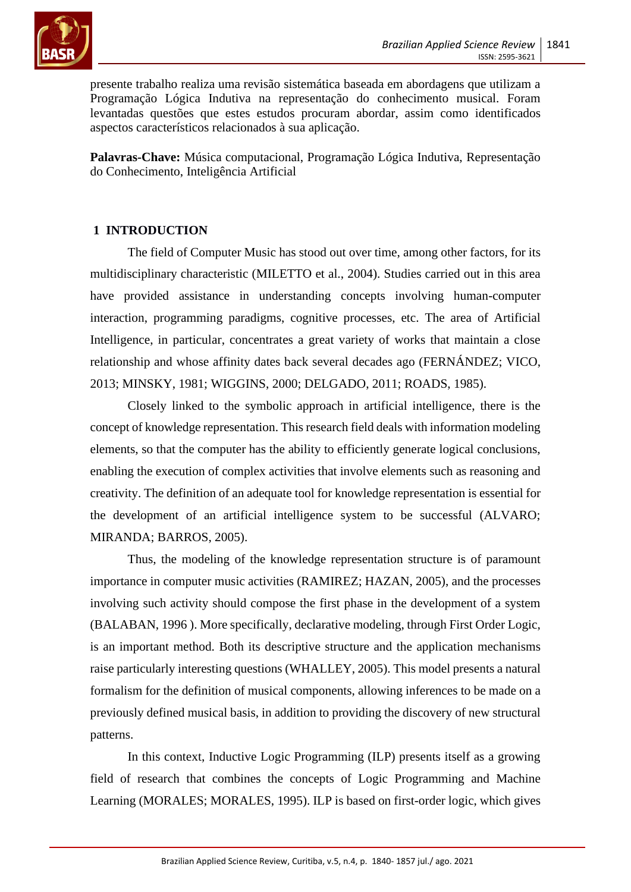

presente trabalho realiza uma revisão sistemática baseada em abordagens que utilizam a Programação Lógica Indutiva na representação do conhecimento musical. Foram levantadas questões que estes estudos procuram abordar, assim como identificados aspectos característicos relacionados à sua aplicação.

**Palavras-Chave:** Música computacional, Programação Lógica Indutiva, Representação do Conhecimento, Inteligência Artificial

## **1 INTRODUCTION**

The field of Computer Music has stood out over time, among other factors, for its multidisciplinary characteristic (MILETTO et al., 2004). Studies carried out in this area have provided assistance in understanding concepts involving human-computer interaction, programming paradigms, cognitive processes, etc. The area of Artificial Intelligence, in particular, concentrates a great variety of works that maintain a close relationship and whose affinity dates back several decades ago (FERNÁNDEZ; VICO, 2013; MINSKY, 1981; WIGGINS, 2000; DELGADO, 2011; ROADS, 1985).

Closely linked to the symbolic approach in artificial intelligence, there is the concept of knowledge representation. This research field deals with information modeling elements, so that the computer has the ability to efficiently generate logical conclusions, enabling the execution of complex activities that involve elements such as reasoning and creativity. The definition of an adequate tool for knowledge representation is essential for the development of an artificial intelligence system to be successful (ALVARO; MIRANDA; BARROS, 2005).

Thus, the modeling of the knowledge representation structure is of paramount importance in computer music activities (RAMIREZ; HAZAN, 2005), and the processes involving such activity should compose the first phase in the development of a system (BALABAN, 1996 ). More specifically, declarative modeling, through First Order Logic, is an important method. Both its descriptive structure and the application mechanisms raise particularly interesting questions (WHALLEY, 2005). This model presents a natural formalism for the definition of musical components, allowing inferences to be made on a previously defined musical basis, in addition to providing the discovery of new structural patterns.

In this context, Inductive Logic Programming (ILP) presents itself as a growing field of research that combines the concepts of Logic Programming and Machine Learning (MORALES; MORALES, 1995). ILP is based on first-order logic, which gives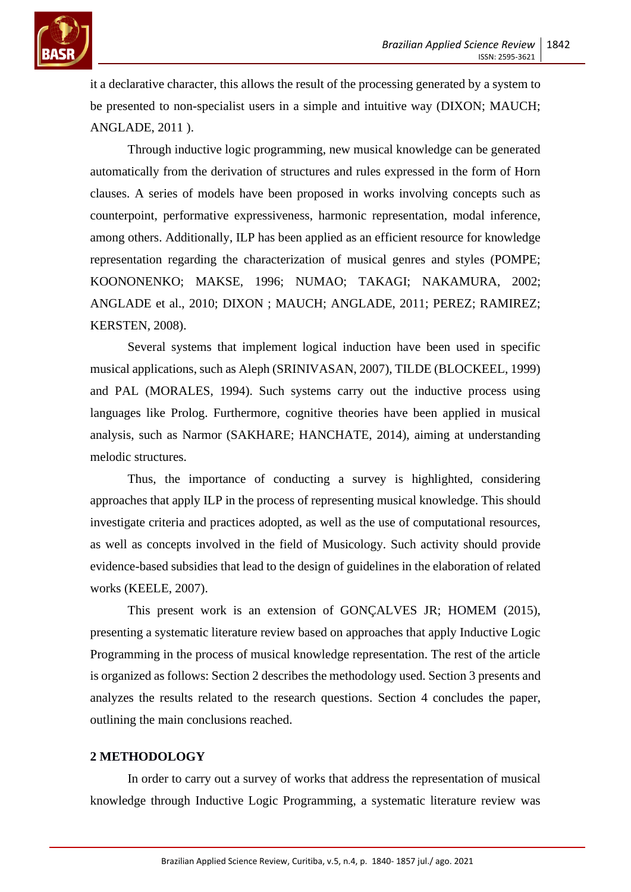

it a declarative character, this allows the result of the processing generated by a system to be presented to non-specialist users in a simple and intuitive way (DIXON; MAUCH; ANGLADE, 2011 ).

Through inductive logic programming, new musical knowledge can be generated automatically from the derivation of structures and rules expressed in the form of Horn clauses. A series of models have been proposed in works involving concepts such as counterpoint, performative expressiveness, harmonic representation, modal inference, among others. Additionally, ILP has been applied as an efficient resource for knowledge representation regarding the characterization of musical genres and styles (POMPE; KOONONENKO; MAKSE, 1996; NUMAO; TAKAGI; NAKAMURA, 2002; ANGLADE et al., 2010; DIXON ; MAUCH; ANGLADE, 2011; PEREZ; RAMIREZ; KERSTEN, 2008).

Several systems that implement logical induction have been used in specific musical applications, such as Aleph (SRINIVASAN, 2007), TILDE (BLOCKEEL, 1999) and PAL (MORALES, 1994). Such systems carry out the inductive process using languages like Prolog. Furthermore, cognitive theories have been applied in musical analysis, such as Narmor (SAKHARE; HANCHATE, 2014), aiming at understanding melodic structures.

Thus, the importance of conducting a survey is highlighted, considering approaches that apply ILP in the process of representing musical knowledge. This should investigate criteria and practices adopted, as well as the use of computational resources, as well as concepts involved in the field of Musicology. Such activity should provide evidence-based subsidies that lead to the design of guidelines in the elaboration of related works (KEELE, 2007).

This present work is an extension of GONÇALVES JR; HOMEM (2015), presenting a systematic literature review based on approaches that apply Inductive Logic Programming in the process of musical knowledge representation. The rest of the article is organized as follows: Section 2 describes the methodology used. Section 3 presents and analyzes the results related to the research questions. Section 4 concludes the paper, outlining the main conclusions reached.

### **2 METHODOLOGY**

In order to carry out a survey of works that address the representation of musical knowledge through Inductive Logic Programming, a systematic literature review was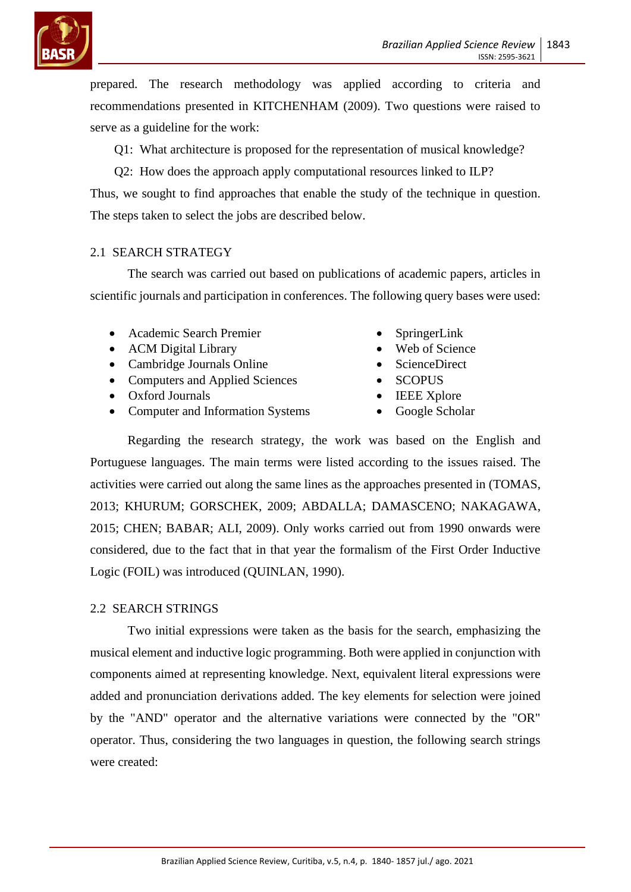

prepared. The research methodology was applied according to criteria and recommendations presented in KITCHENHAM (2009). Two questions were raised to serve as a guideline for the work:

Q1: What architecture is proposed for the representation of musical knowledge?

Q2: How does the approach apply computational resources linked to ILP?

Thus, we sought to find approaches that enable the study of the technique in question. The steps taken to select the jobs are described below.

### 2.1 SEARCH STRATEGY

The search was carried out based on publications of academic papers, articles in scientific journals and participation in conferences. The following query bases were used:

- Academic Search Premier
- ACM Digital Library
- Cambridge Journals Online
- Computers and Applied Sciences
- Oxford Journals
- Computer and Information Systems
- SpringerLink
- Web of Science
- ScienceDirect
- SCOPUS
- IEEE Xplore
- Google Scholar

Regarding the research strategy, the work was based on the English and Portuguese languages. The main terms were listed according to the issues raised. The activities were carried out along the same lines as the approaches presented in (TOMAS, 2013; KHURUM; GORSCHEK, 2009; ABDALLA; DAMASCENO; NAKAGAWA, 2015; CHEN; BABAR; ALI, 2009). Only works carried out from 1990 onwards were considered, due to the fact that in that year the formalism of the First Order Inductive Logic (FOIL) was introduced (QUINLAN, 1990).

### 2.2 SEARCH STRINGS

Two initial expressions were taken as the basis for the search, emphasizing the musical element and inductive logic programming. Both were applied in conjunction with components aimed at representing knowledge. Next, equivalent literal expressions were added and pronunciation derivations added. The key elements for selection were joined by the "AND" operator and the alternative variations were connected by the "OR" operator. Thus, considering the two languages in question, the following search strings were created: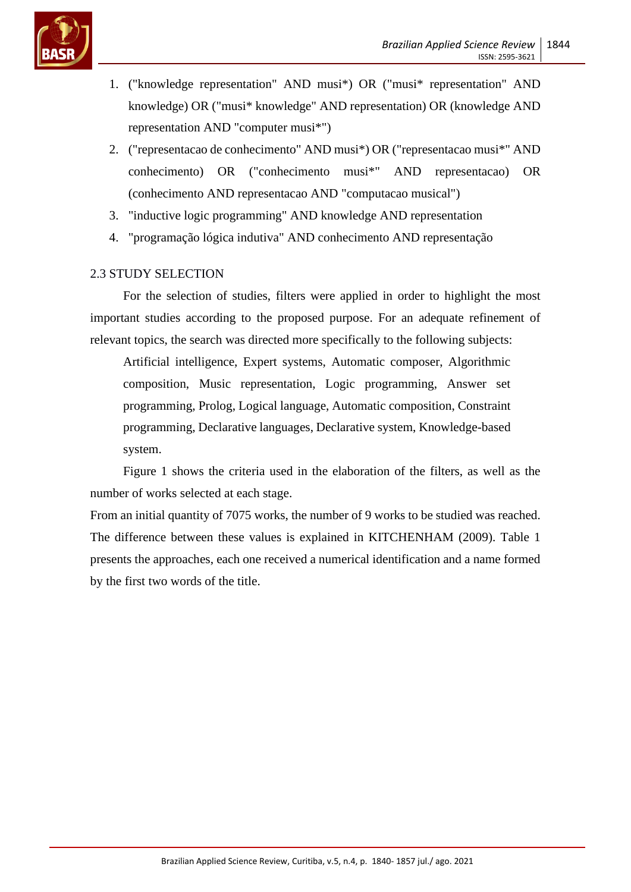

- 1. ("knowledge representation" AND musi\*) OR ("musi\* representation" AND knowledge) OR ("musi\* knowledge" AND representation) OR (knowledge AND representation AND "computer musi\*")
- 2. ("representacao de conhecimento" AND musi\*) OR ("representacao musi\*" AND conhecimento) OR ("conhecimento musi\*" AND representacao) OR (conhecimento AND representacao AND "computacao musical")
- 3. "inductive logic programming" AND knowledge AND representation
- 4. "programação lógica indutiva" AND conhecimento AND representação

### 2.3 STUDY SELECTION

For the selection of studies, filters were applied in order to highlight the most important studies according to the proposed purpose. For an adequate refinement of relevant topics, the search was directed more specifically to the following subjects:

Artificial intelligence, Expert systems, Automatic composer, Algorithmic composition, Music representation, Logic programming, Answer set programming, Prolog, Logical language, Automatic composition, Constraint programming, Declarative languages, Declarative system, Knowledge-based system.

Figure 1 shows the criteria used in the elaboration of the filters, as well as the number of works selected at each stage.

From an initial quantity of 7075 works, the number of 9 works to be studied was reached. The difference between these values is explained in KITCHENHAM (2009). Table 1 presents the approaches, each one received a numerical identification and a name formed by the first two words of the title.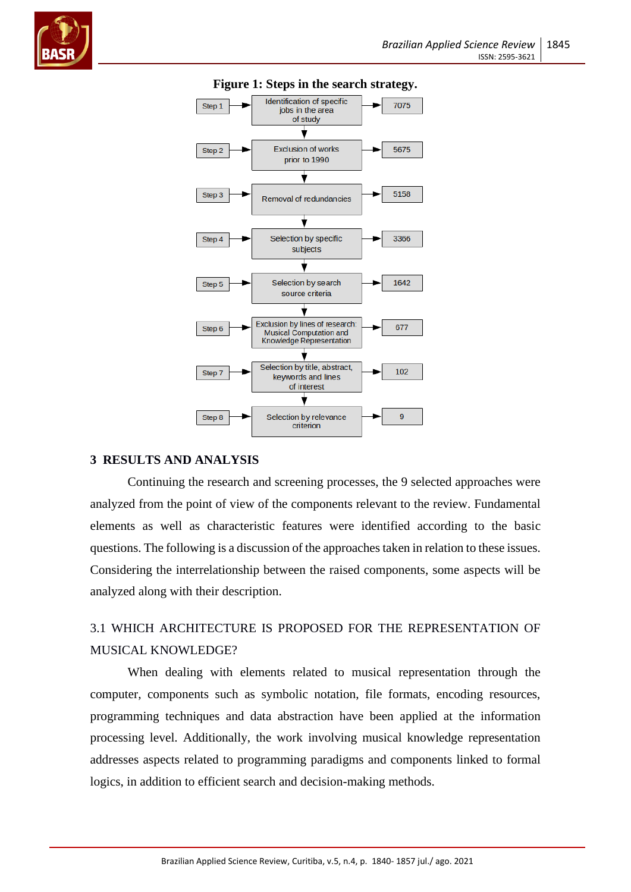



#### **Figure 1: Steps in the search strategy.**

#### **3 RESULTS AND ANALYSIS**

Continuing the research and screening processes, the 9 selected approaches were analyzed from the point of view of the components relevant to the review. Fundamental elements as well as characteristic features were identified according to the basic questions. The following is a discussion of the approaches taken in relation to these issues. Considering the interrelationship between the raised components, some aspects will be analyzed along with their description.

# 3.1 WHICH ARCHITECTURE IS PROPOSED FOR THE REPRESENTATION OF MUSICAL KNOWLEDGE?

When dealing with elements related to musical representation through the computer, components such as symbolic notation, file formats, encoding resources, programming techniques and data abstraction have been applied at the information processing level. Additionally, the work involving musical knowledge representation addresses aspects related to programming paradigms and components linked to formal logics, in addition to efficient search and decision-making methods.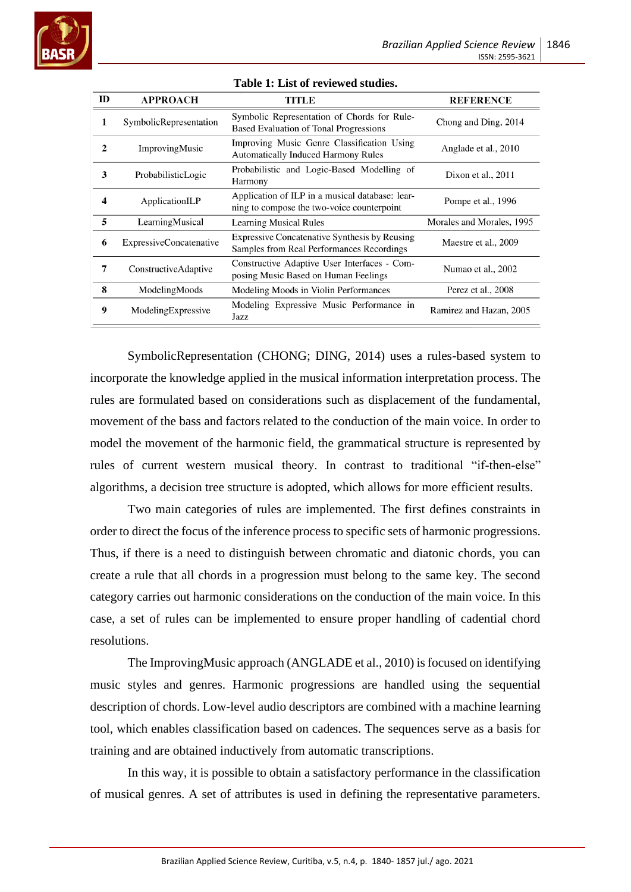| ID           | <b>APPROACH</b>                | <b>TITLE</b>                                                                                  | <b>REFERENCE</b>          |
|--------------|--------------------------------|-----------------------------------------------------------------------------------------------|---------------------------|
| 1            | SymbolicRepresentation         | Symbolic Representation of Chords for Rule-<br><b>Based Evaluation of Tonal Progressions</b>  | Chong and Ding, 2014      |
| $\mathbf{2}$ | ImprovingMusic                 | Improving Music Genre Classification Using<br><b>Automatically Induced Harmony Rules</b>      | Anglade et al., 2010      |
| 3            | ProbabilisticLogic             | Probabilistic and Logic-Based Modelling of<br>Harmony                                         | Dixon et al., 2011        |
| 4            | ApplicationILP                 | Application of ILP in a musical database: lear-<br>ning to compose the two-voice counterpoint | Pompe et al., 1996        |
| 5            | LearningMusical                | <b>Learning Musical Rules</b>                                                                 | Morales and Morales, 1995 |
| 6            | <b>ExpressiveConcatenative</b> | Expressive Concatenative Synthesis by Reusing<br>Samples from Real Performances Recordings    | Maestre et al., 2009      |
| 7            | ConstructiveAdaptive           | Constructive Adaptive User Interfaces - Com-<br>posing Music Based on Human Feelings          | Numao et al., 2002        |
| 8            | ModelingMoods                  | Modeling Moods in Violin Performances                                                         | Perez et al., 2008        |
| 9            | ModelingExpressive             | Modeling Expressive Music Performance in<br>Jazz                                              | Ramirez and Hazan, 2005   |

#### **Table 1: List of reviewed studies.**

SymbolicRepresentation (CHONG; DING, 2014) uses a rules-based system to incorporate the knowledge applied in the musical information interpretation process. The rules are formulated based on considerations such as displacement of the fundamental, movement of the bass and factors related to the conduction of the main voice. In order to model the movement of the harmonic field, the grammatical structure is represented by rules of current western musical theory. In contrast to traditional "if-then-else" algorithms, a decision tree structure is adopted, which allows for more efficient results.

Two main categories of rules are implemented. The first defines constraints in order to direct the focus of the inference process to specific sets of harmonic progressions. Thus, if there is a need to distinguish between chromatic and diatonic chords, you can create a rule that all chords in a progression must belong to the same key. The second category carries out harmonic considerations on the conduction of the main voice. In this case, a set of rules can be implemented to ensure proper handling of cadential chord resolutions.

The ImprovingMusic approach (ANGLADE et al., 2010) is focused on identifying music styles and genres. Harmonic progressions are handled using the sequential description of chords. Low-level audio descriptors are combined with a machine learning tool, which enables classification based on cadences. The sequences serve as a basis for training and are obtained inductively from automatic transcriptions.

In this way, it is possible to obtain a satisfactory performance in the classification of musical genres. A set of attributes is used in defining the representative parameters.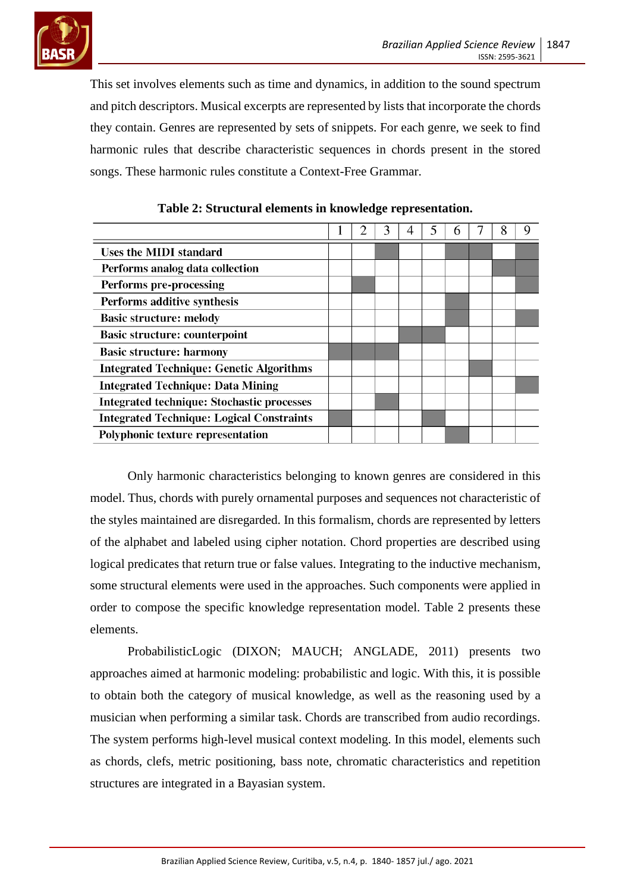

This set involves elements such as time and dynamics, in addition to the sound spectrum and pitch descriptors. Musical excerpts are represented by lists that incorporate the chords they contain. Genres are represented by sets of snippets. For each genre, we seek to find harmonic rules that describe characteristic sequences in chords present in the stored songs. These harmonic rules constitute a Context-Free Grammar.

| <b>Uses the MIDI standard</b>                     |  |  |  |  |  |
|---------------------------------------------------|--|--|--|--|--|
| Performs analog data collection                   |  |  |  |  |  |
| <b>Performs pre-processing</b>                    |  |  |  |  |  |
| Performs additive synthesis                       |  |  |  |  |  |
| <b>Basic structure: melody</b>                    |  |  |  |  |  |
| <b>Basic structure: counterpoint</b>              |  |  |  |  |  |
| <b>Basic structure: harmony</b>                   |  |  |  |  |  |
| <b>Integrated Technique: Genetic Algorithms</b>   |  |  |  |  |  |
| <b>Integrated Technique: Data Mining</b>          |  |  |  |  |  |
| <b>Integrated technique: Stochastic processes</b> |  |  |  |  |  |
| <b>Integrated Technique: Logical Constraints</b>  |  |  |  |  |  |
| <b>Polyphonic texture representation</b>          |  |  |  |  |  |

| Table 2: Structural elements in knowledge representation. |  |  |
|-----------------------------------------------------------|--|--|
|                                                           |  |  |

Only harmonic characteristics belonging to known genres are considered in this model. Thus, chords with purely ornamental purposes and sequences not characteristic of the styles maintained are disregarded. In this formalism, chords are represented by letters of the alphabet and labeled using cipher notation. Chord properties are described using logical predicates that return true or false values. Integrating to the inductive mechanism, some structural elements were used in the approaches. Such components were applied in order to compose the specific knowledge representation model. Table 2 presents these elements.

ProbabilisticLogic (DIXON; MAUCH; ANGLADE, 2011) presents two approaches aimed at harmonic modeling: probabilistic and logic. With this, it is possible to obtain both the category of musical knowledge, as well as the reasoning used by a musician when performing a similar task. Chords are transcribed from audio recordings. The system performs high-level musical context modeling. In this model, elements such as chords, clefs, metric positioning, bass note, chromatic characteristics and repetition structures are integrated in a Bayasian system.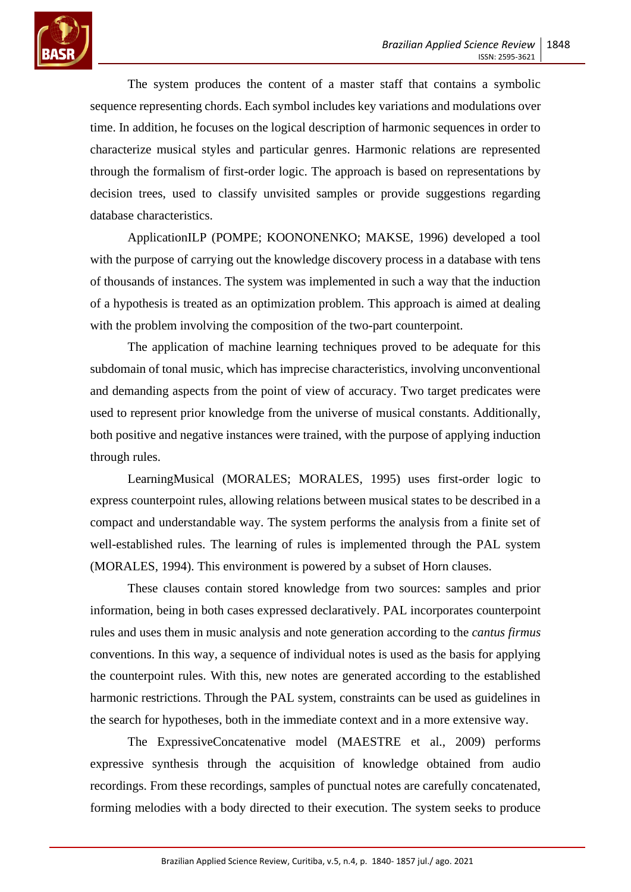

The system produces the content of a master staff that contains a symbolic sequence representing chords. Each symbol includes key variations and modulations over time. In addition, he focuses on the logical description of harmonic sequences in order to characterize musical styles and particular genres. Harmonic relations are represented through the formalism of first-order logic. The approach is based on representations by decision trees, used to classify unvisited samples or provide suggestions regarding database characteristics.

ApplicationILP (POMPE; KOONONENKO; MAKSE, 1996) developed a tool with the purpose of carrying out the knowledge discovery process in a database with tens of thousands of instances. The system was implemented in such a way that the induction of a hypothesis is treated as an optimization problem. This approach is aimed at dealing with the problem involving the composition of the two-part counterpoint.

The application of machine learning techniques proved to be adequate for this subdomain of tonal music, which has imprecise characteristics, involving unconventional and demanding aspects from the point of view of accuracy. Two target predicates were used to represent prior knowledge from the universe of musical constants. Additionally, both positive and negative instances were trained, with the purpose of applying induction through rules.

LearningMusical (MORALES; MORALES, 1995) uses first-order logic to express counterpoint rules, allowing relations between musical states to be described in a compact and understandable way. The system performs the analysis from a finite set of well-established rules. The learning of rules is implemented through the PAL system (MORALES, 1994). This environment is powered by a subset of Horn clauses.

These clauses contain stored knowledge from two sources: samples and prior information, being in both cases expressed declaratively. PAL incorporates counterpoint rules and uses them in music analysis and note generation according to the *cantus firmus* conventions. In this way, a sequence of individual notes is used as the basis for applying the counterpoint rules. With this, new notes are generated according to the established harmonic restrictions. Through the PAL system, constraints can be used as guidelines in the search for hypotheses, both in the immediate context and in a more extensive way.

The ExpressiveConcatenative model (MAESTRE et al., 2009) performs expressive synthesis through the acquisition of knowledge obtained from audio recordings. From these recordings, samples of punctual notes are carefully concatenated, forming melodies with a body directed to their execution. The system seeks to produce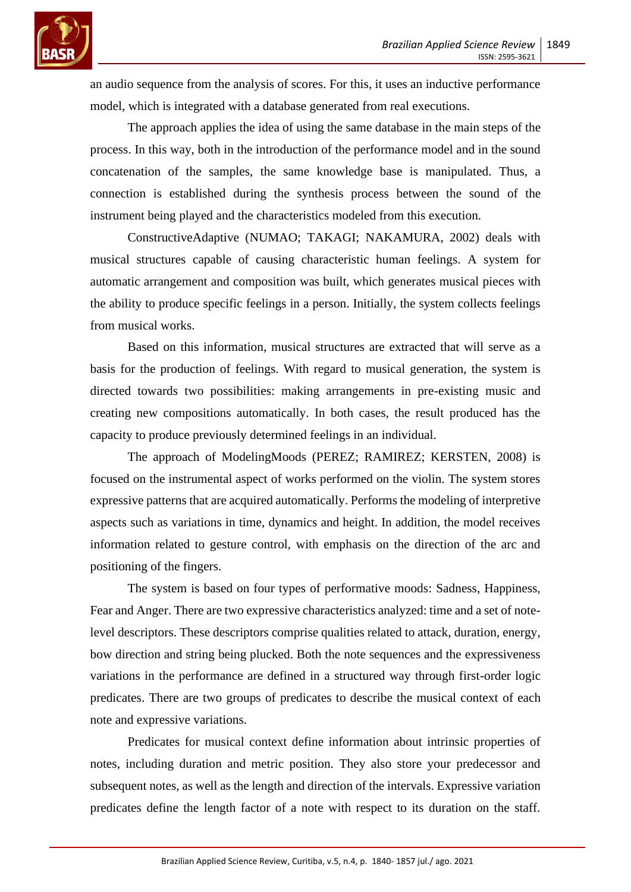

an audio sequence from the analysis of scores. For this, it uses an inductive performance model, which is integrated with a database generated from real executions.

The approach applies the idea of using the same database in the main steps of the process. In this way, both in the introduction of the performance model and in the sound concatenation of the samples, the same knowledge base is manipulated. Thus, a connection is established during the synthesis process between the sound of the instrument being played and the characteristics modeled from this execution.

ConstructiveAdaptive (NUMAO; TAKAGI; NAKAMURA, 2002) deals with musical structures capable of causing characteristic human feelings. A system for automatic arrangement and composition was built, which generates musical pieces with the ability to produce specific feelings in a person. Initially, the system collects feelings from musical works.

Based on this information, musical structures are extracted that will serve as a basis for the production of feelings. With regard to musical generation, the system is directed towards two possibilities: making arrangements in pre-existing music and creating new compositions automatically. In both cases, the result produced has the capacity to produce previously determined feelings in an individual.

The approach of ModelingMoods (PEREZ; RAMIREZ; KERSTEN, 2008) is focused on the instrumental aspect of works performed on the violin. The system stores expressive patterns that are acquired automatically. Performs the modeling of interpretive aspects such as variations in time, dynamics and height. In addition, the model receives information related to gesture control, with emphasis on the direction of the arc and positioning of the fingers.

The system is based on four types of performative moods: Sadness, Happiness, Fear and Anger. There are two expressive characteristics analyzed: time and a set of notelevel descriptors. These descriptors comprise qualities related to attack, duration, energy, bow direction and string being plucked. Both the note sequences and the expressiveness variations in the performance are defined in a structured way through first-order logic predicates. There are two groups of predicates to describe the musical context of each note and expressive variations.

Predicates for musical context define information about intrinsic properties of notes, including duration and metric position. They also store your predecessor and subsequent notes, as well as the length and direction of the intervals. Expressive variation predicates define the length factor of a note with respect to its duration on the staff.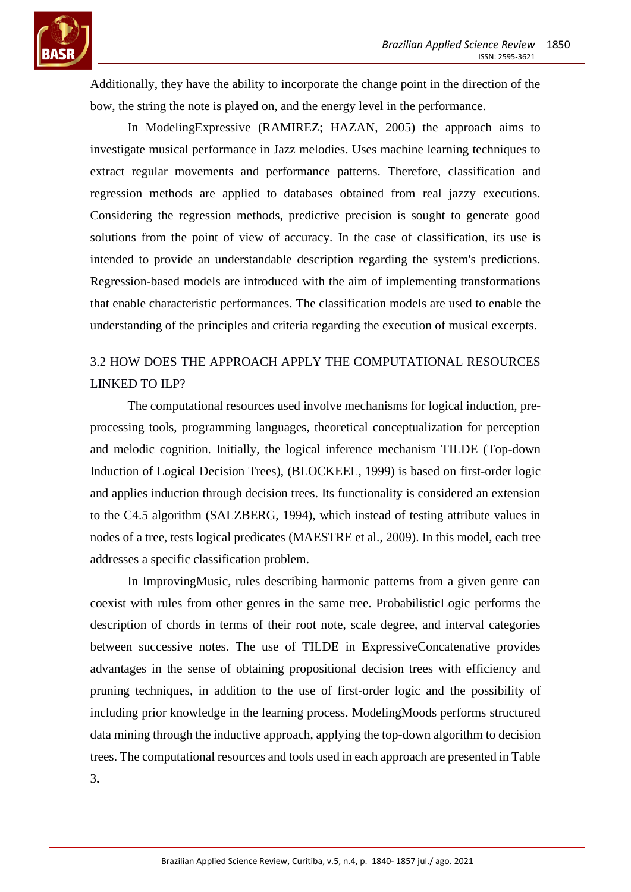

Additionally, they have the ability to incorporate the change point in the direction of the bow, the string the note is played on, and the energy level in the performance.

In ModelingExpressive (RAMIREZ; HAZAN, 2005) the approach aims to investigate musical performance in Jazz melodies. Uses machine learning techniques to extract regular movements and performance patterns. Therefore, classification and regression methods are applied to databases obtained from real jazzy executions. Considering the regression methods, predictive precision is sought to generate good solutions from the point of view of accuracy. In the case of classification, its use is intended to provide an understandable description regarding the system's predictions. Regression-based models are introduced with the aim of implementing transformations that enable characteristic performances. The classification models are used to enable the understanding of the principles and criteria regarding the execution of musical excerpts.

# 3.2 HOW DOES THE APPROACH APPLY THE COMPUTATIONAL RESOURCES LINKED TO ILP?

The computational resources used involve mechanisms for logical induction, preprocessing tools, programming languages, theoretical conceptualization for perception and melodic cognition. Initially, the logical inference mechanism TILDE (Top-down Induction of Logical Decision Trees), (BLOCKEEL, 1999) is based on first-order logic and applies induction through decision trees. Its functionality is considered an extension to the C4.5 algorithm (SALZBERG, 1994), which instead of testing attribute values in nodes of a tree, tests logical predicates (MAESTRE et al., 2009). In this model, each tree addresses a specific classification problem.

In ImprovingMusic, rules describing harmonic patterns from a given genre can coexist with rules from other genres in the same tree. ProbabilisticLogic performs the description of chords in terms of their root note, scale degree, and interval categories between successive notes. The use of TILDE in ExpressiveConcatenative provides advantages in the sense of obtaining propositional decision trees with efficiency and pruning techniques, in addition to the use of first-order logic and the possibility of including prior knowledge in the learning process. ModelingMoods performs structured data mining through the inductive approach, applying the top-down algorithm to decision trees. The computational resources and tools used in each approach are presented in Table 3**.**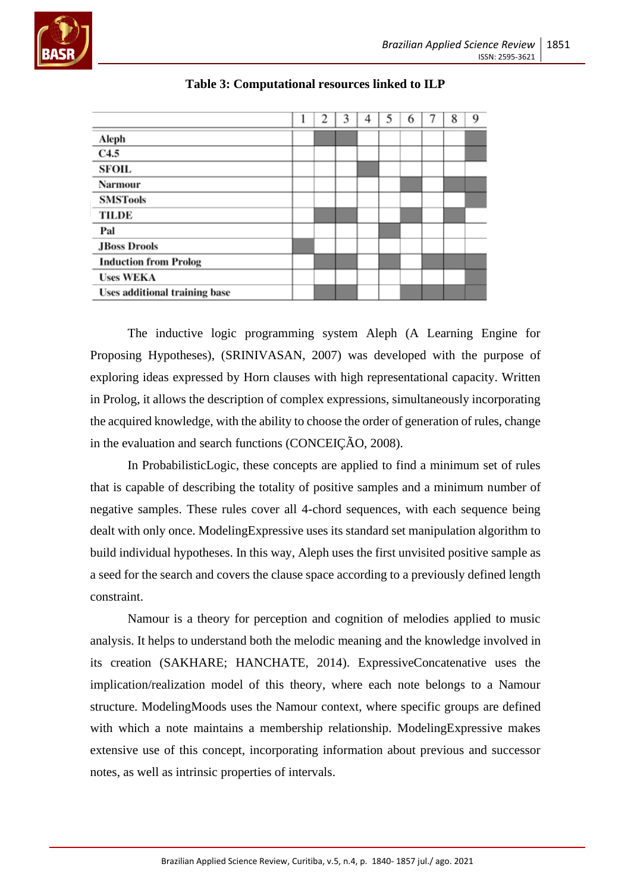

|                               | 2 | 3 |  | 6 | 8 | 9 |
|-------------------------------|---|---|--|---|---|---|
| Aleph                         |   |   |  |   |   |   |
| C4.5                          |   |   |  |   |   |   |
| <b>SFOIL</b>                  |   |   |  |   |   |   |
| <b>Narmour</b>                |   |   |  |   |   |   |
| <b>SMSTools</b>               |   |   |  |   |   |   |
| <b>TILDE</b>                  |   |   |  |   |   |   |
| Pal                           |   |   |  |   |   |   |
| <b>JBoss Drools</b>           |   |   |  |   |   |   |
| <b>Induction from Prolog</b>  |   |   |  |   |   |   |
| <b>Uses WEKA</b>              |   |   |  |   |   |   |
| Uses additional training base |   |   |  |   |   |   |

**Table 3: Computational resources linked to ILP**

The inductive logic programming system Aleph (A Learning Engine for Proposing Hypotheses), (SRINIVASAN, 2007) was developed with the purpose of exploring ideas expressed by Horn clauses with high representational capacity. Written in Prolog, it allows the description of complex expressions, simultaneously incorporating the acquired knowledge, with the ability to choose the order of generation of rules, change in the evaluation and search functions (CONCEIÇÃO, 2008).

In ProbabilisticLogic, these concepts are applied to find a minimum set of rules that is capable of describing the totality of positive samples and a minimum number of negative samples. These rules cover all 4-chord sequences, with each sequence being dealt with only once. ModelingExpressive uses its standard set manipulation algorithm to build individual hypotheses. In this way, Aleph uses the first unvisited positive sample as a seed for the search and covers the clause space according to a previously defined length constraint.

Namour is a theory for perception and cognition of melodies applied to music analysis. It helps to understand both the melodic meaning and the knowledge involved in its creation (SAKHARE; HANCHATE, 2014). ExpressiveConcatenative uses the implication/realization model of this theory, where each note belongs to a Namour structure. ModelingMoods uses the Namour context, where specific groups are defined with which a note maintains a membership relationship. ModelingExpressive makes extensive use of this concept, incorporating information about previous and successor notes, as well as intrinsic properties of intervals.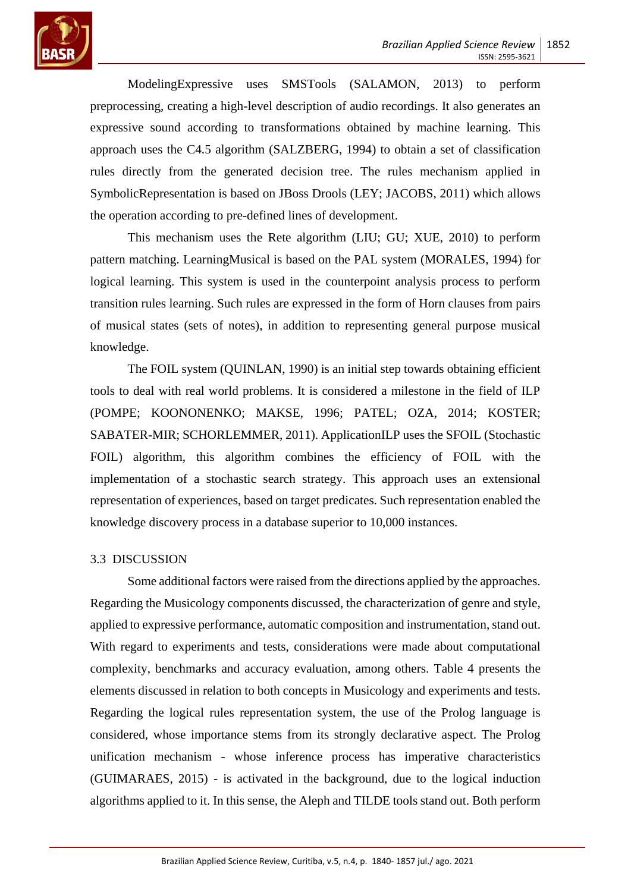

ModelingExpressive uses SMSTools (SALAMON, 2013) to perform preprocessing, creating a high-level description of audio recordings. It also generates an expressive sound according to transformations obtained by machine learning. This approach uses the C4.5 algorithm (SALZBERG, 1994) to obtain a set of classification rules directly from the generated decision tree. The rules mechanism applied in SymbolicRepresentation is based on JBoss Drools (LEY; JACOBS, 2011) which allows the operation according to pre-defined lines of development.

This mechanism uses the Rete algorithm (LIU; GU; XUE, 2010) to perform pattern matching. LearningMusical is based on the PAL system (MORALES, 1994) for logical learning. This system is used in the counterpoint analysis process to perform transition rules learning. Such rules are expressed in the form of Horn clauses from pairs of musical states (sets of notes), in addition to representing general purpose musical knowledge.

The FOIL system (QUINLAN, 1990) is an initial step towards obtaining efficient tools to deal with real world problems. It is considered a milestone in the field of ILP (POMPE; KOONONENKO; MAKSE, 1996; PATEL; OZA, 2014; KOSTER; SABATER-MIR; SCHORLEMMER, 2011). ApplicationILP uses the SFOIL (Stochastic FOIL) algorithm, this algorithm combines the efficiency of FOIL with the implementation of a stochastic search strategy. This approach uses an extensional representation of experiences, based on target predicates. Such representation enabled the knowledge discovery process in a database superior to 10,000 instances.

### 3.3 DISCUSSION

Some additional factors were raised from the directions applied by the approaches. Regarding the Musicology components discussed, the characterization of genre and style, applied to expressive performance, automatic composition and instrumentation, stand out. With regard to experiments and tests, considerations were made about computational complexity, benchmarks and accuracy evaluation, among others. Table 4 presents the elements discussed in relation to both concepts in Musicology and experiments and tests. Regarding the logical rules representation system, the use of the Prolog language is considered, whose importance stems from its strongly declarative aspect. The Prolog unification mechanism - whose inference process has imperative characteristics (GUIMARAES, 2015) - is activated in the background, due to the logical induction algorithms applied to it. In this sense, the Aleph and TILDE tools stand out. Both perform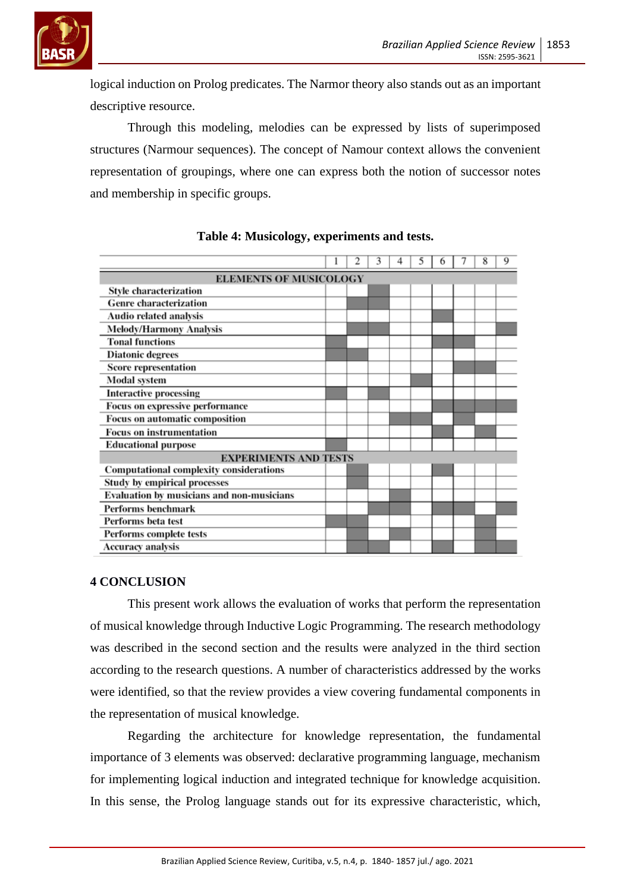

logical induction on Prolog predicates. The Narmor theory also stands out as an important descriptive resource.

Through this modeling, melodies can be expressed by lists of superimposed structures (Narmour sequences). The concept of Namour context allows the convenient representation of groupings, where one can express both the notion of successor notes and membership in specific groups.

|                                                |  | 2 | 3 |  |  |  |  | 8 | 9 |
|------------------------------------------------|--|---|---|--|--|--|--|---|---|
| <b>ELEMENTS OF MUSICOLOGY</b>                  |  |   |   |  |  |  |  |   |   |
| <b>Style characterization</b>                  |  |   |   |  |  |  |  |   |   |
| <b>Genre characterization</b>                  |  |   |   |  |  |  |  |   |   |
| Audio related analysis                         |  |   |   |  |  |  |  |   |   |
| <b>Melody/Harmony Analysis</b>                 |  |   |   |  |  |  |  |   |   |
| <b>Tonal functions</b>                         |  |   |   |  |  |  |  |   |   |
| <b>Diatonic degrees</b>                        |  |   |   |  |  |  |  |   |   |
| <b>Score representation</b>                    |  |   |   |  |  |  |  |   |   |
| Modal system                                   |  |   |   |  |  |  |  |   |   |
| <b>Interactive processing</b>                  |  |   |   |  |  |  |  |   |   |
| Focus on expressive performance                |  |   |   |  |  |  |  |   |   |
| <b>Focus on automatic composition</b>          |  |   |   |  |  |  |  |   |   |
| <b>Focus on instrumentation</b>                |  |   |   |  |  |  |  |   |   |
| <b>Educational purpose</b>                     |  |   |   |  |  |  |  |   |   |
| <b>EXPERIMENTS AND TESTS</b>                   |  |   |   |  |  |  |  |   |   |
| <b>Computational complexity considerations</b> |  |   |   |  |  |  |  |   |   |
| <b>Study by empirical processes</b>            |  |   |   |  |  |  |  |   |   |
| Evaluation by musicians and non-musicians      |  |   |   |  |  |  |  |   |   |
| Performs benchmark                             |  |   |   |  |  |  |  |   |   |
| Performs beta test                             |  |   |   |  |  |  |  |   |   |
| Performs complete tests                        |  |   |   |  |  |  |  |   |   |
| Accuracy analysis                              |  |   |   |  |  |  |  |   |   |

#### **Table 4: Musicology, experiments and tests.**

#### **4 CONCLUSION**

This present work allows the evaluation of works that perform the representation of musical knowledge through Inductive Logic Programming. The research methodology was described in the second section and the results were analyzed in the third section according to the research questions. A number of characteristics addressed by the works were identified, so that the review provides a view covering fundamental components in the representation of musical knowledge.

Regarding the architecture for knowledge representation, the fundamental importance of 3 elements was observed: declarative programming language, mechanism for implementing logical induction and integrated technique for knowledge acquisition. In this sense, the Prolog language stands out for its expressive characteristic, which,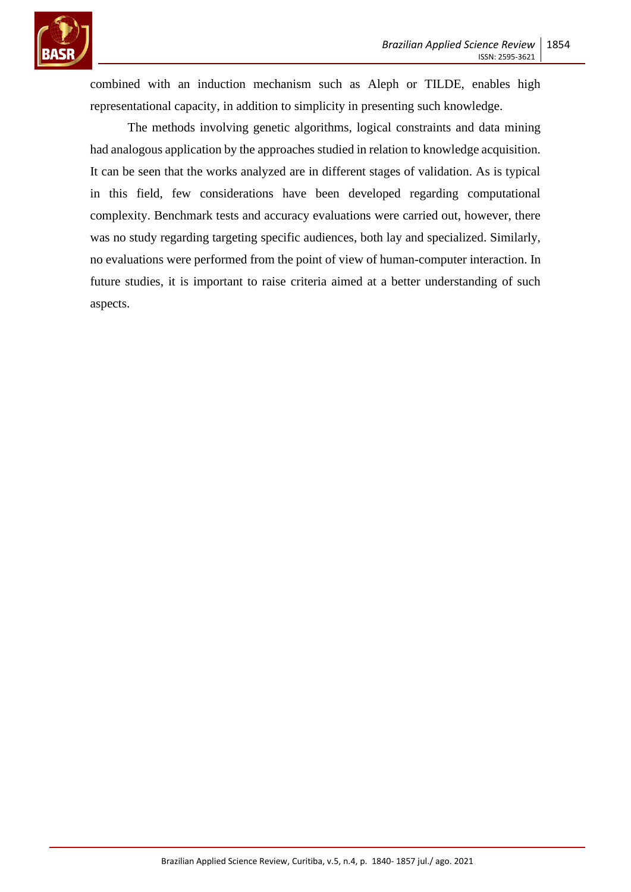

combined with an induction mechanism such as Aleph or TILDE, enables high representational capacity, in addition to simplicity in presenting such knowledge.

The methods involving genetic algorithms, logical constraints and data mining had analogous application by the approaches studied in relation to knowledge acquisition. It can be seen that the works analyzed are in different stages of validation. As is typical in this field, few considerations have been developed regarding computational complexity. Benchmark tests and accuracy evaluations were carried out, however, there was no study regarding targeting specific audiences, both lay and specialized. Similarly, no evaluations were performed from the point of view of human-computer interaction. In future studies, it is important to raise criteria aimed at a better understanding of such aspects.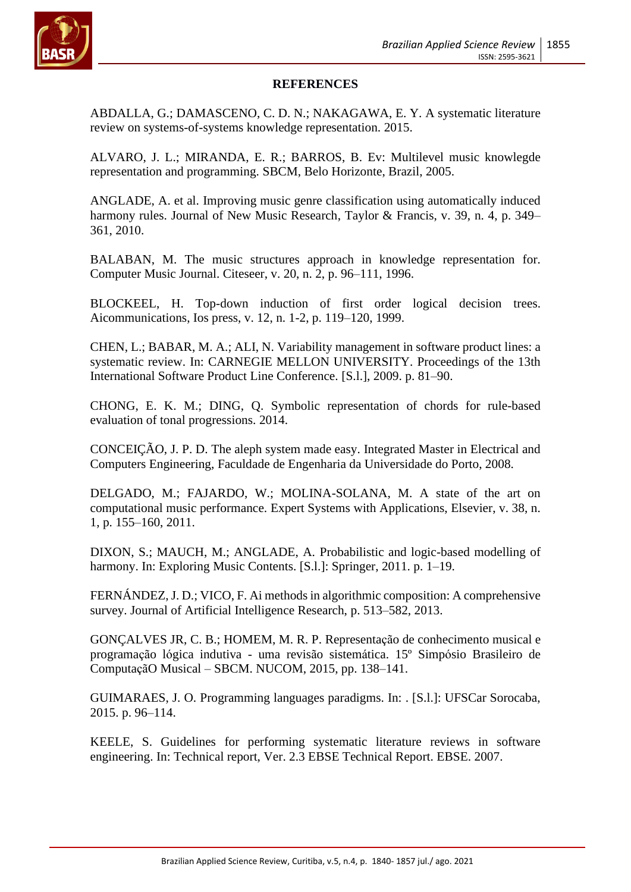

### **REFERENCES**

ABDALLA, G.; DAMASCENO, C. D. N.; NAKAGAWA, E. Y. A systematic literature review on systems-of-systems knowledge representation. 2015.

ALVARO, J. L.; MIRANDA, E. R.; BARROS, B. Ev: Multilevel music knowlegde representation and programming. SBCM, Belo Horizonte, Brazil, 2005.

ANGLADE, A. et al. Improving music genre classification using automatically induced harmony rules. Journal of New Music Research, Taylor & Francis, v. 39, n. 4, p. 349– 361, 2010.

BALABAN, M. The music structures approach in knowledge representation for. Computer Music Journal. Citeseer, v. 20, n. 2, p. 96–111, 1996.

BLOCKEEL, H. Top-down induction of first order logical decision trees. Aicommunications, Ios press, v. 12, n. 1-2, p. 119–120, 1999.

CHEN, L.; BABAR, M. A.; ALI, N. Variability management in software product lines: a systematic review. In: CARNEGIE MELLON UNIVERSITY. Proceedings of the 13th International Software Product Line Conference. [S.l.], 2009. p. 81–90.

CHONG, E. K. M.; DING, Q. Symbolic representation of chords for rule-based evaluation of tonal progressions. 2014.

CONCEIÇÃO, J. P. D. The aleph system made easy. Integrated Master in Electrical and Computers Engineering, Faculdade de Engenharia da Universidade do Porto, 2008.

DELGADO, M.; FAJARDO, W.; MOLINA-SOLANA, M. A state of the art on computational music performance. Expert Systems with Applications, Elsevier, v. 38, n. 1, p. 155–160, 2011.

DIXON, S.; MAUCH, M.; ANGLADE, A. Probabilistic and logic-based modelling of harmony. In: Exploring Music Contents. [S.l.]: Springer, 2011. p. 1–19.

FERNÁNDEZ, J. D.; VICO, F. Ai methods in algorithmic composition: A comprehensive survey. Journal of Artificial Intelligence Research, p. 513–582, 2013.

GONÇALVES JR, C. B.; HOMEM, M. R. P. Representação de conhecimento musical e programação lógica indutiva - uma revisão sistemática. 15º Simpósio Brasileiro de ComputaçãO Musical – SBCM. NUCOM, 2015, pp. 138–141.

GUIMARAES, J. O. Programming languages paradigms. In: . [S.l.]: UFSCar Sorocaba, 2015. p. 96–114.

KEELE, S. Guidelines for performing systematic literature reviews in software engineering. In: Technical report, Ver. 2.3 EBSE Technical Report. EBSE. 2007.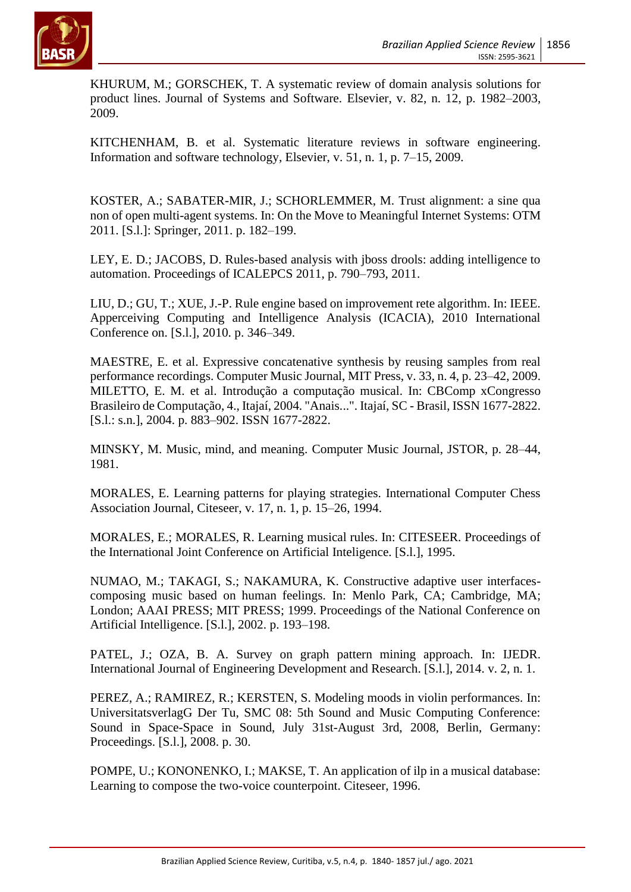

KHURUM, M.; GORSCHEK, T. A systematic review of domain analysis solutions for product lines. Journal of Systems and Software. Elsevier, v. 82, n. 12, p. 1982–2003, 2009.

KITCHENHAM, B. et al. Systematic literature reviews in software engineering. Information and software technology, Elsevier, v. 51, n. 1, p. 7–15, 2009.

KOSTER, A.; SABATER-MIR, J.; SCHORLEMMER, M. Trust alignment: a sine qua non of open multi-agent systems. In: On the Move to Meaningful Internet Systems: OTM 2011. [S.l.]: Springer, 2011. p. 182–199.

LEY, E. D.; JACOBS, D. Rules-based analysis with jboss drools: adding intelligence to automation. Proceedings of ICALEPCS 2011, p. 790–793, 2011.

LIU, D.; GU, T.; XUE, J.-P. Rule engine based on improvement rete algorithm. In: IEEE. Apperceiving Computing and Intelligence Analysis (ICACIA), 2010 International Conference on. [S.l.], 2010. p. 346–349.

MAESTRE, E. et al. Expressive concatenative synthesis by reusing samples from real performance recordings. Computer Music Journal, MIT Press, v. 33, n. 4, p. 23–42, 2009. MILETTO, E. M. et al. Introdução a computação musical. In: CBComp xCongresso Brasileiro de Computação, 4., Itajaí, 2004. "Anais...". Itajaí, SC - Brasil, ISSN 1677-2822. [S.l.: s.n.], 2004. p. 883–902. ISSN 1677-2822.

MINSKY, M. Music, mind, and meaning. Computer Music Journal, JSTOR, p. 28–44, 1981.

MORALES, E. Learning patterns for playing strategies. International Computer Chess Association Journal, Citeseer, v. 17, n. 1, p. 15–26, 1994.

MORALES, E.; MORALES, R. Learning musical rules. In: CITESEER. Proceedings of the International Joint Conference on Artificial Inteligence. [S.l.], 1995.

NUMAO, M.; TAKAGI, S.; NAKAMURA, K. Constructive adaptive user interfacescomposing music based on human feelings. In: Menlo Park, CA; Cambridge, MA; London; AAAI PRESS; MIT PRESS; 1999. Proceedings of the National Conference on Artificial Intelligence. [S.l.], 2002. p. 193–198.

PATEL, J.; OZA, B. A. Survey on graph pattern mining approach. In: IJEDR. International Journal of Engineering Development and Research. [S.l.], 2014. v. 2, n. 1.

PEREZ, A.; RAMIREZ, R.; KERSTEN, S. Modeling moods in violin performances. In: UniversitatsverlagG Der Tu, SMC 08: 5th Sound and Music Computing Conference: Sound in Space-Space in Sound, July 31st-August 3rd, 2008, Berlin, Germany: Proceedings. [S.l.], 2008. p. 30.

POMPE, U.; KONONENKO, I.; MAKSE, T. An application of ilp in a musical database: Learning to compose the two-voice counterpoint. Citeseer, 1996.